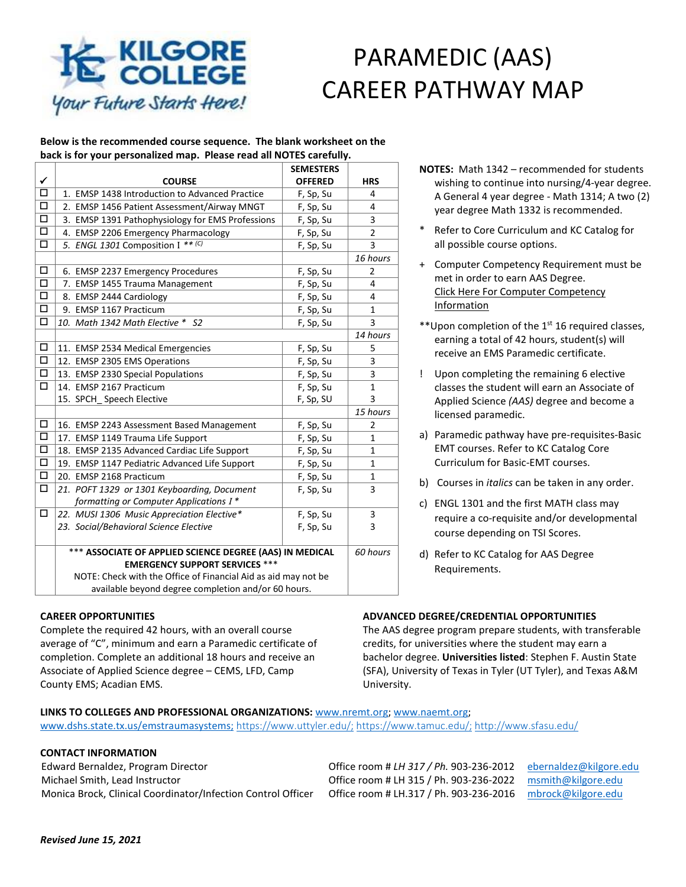# PARAMEDIC (AAS) CAREER PATHWAY MAP

#### **Below is the recommended course sequence. The blank worksheet on the back is for your personalized map. Please read all NOTES carefully.**

|                      |                                                                | <b>SEMESTERS</b> |                |
|----------------------|----------------------------------------------------------------|------------------|----------------|
| $\checkmark$         | <b>COURSE</b>                                                  | <b>OFFERED</b>   | <b>HRS</b>     |
| $\Box$               | 1. EMSP 1438 Introduction to Advanced Practice                 | F, Sp, Su        | 4              |
| $\Box$               | 2. EMSP 1456 Patient Assessment/Airway MNGT                    | F, Sp, Su        | 4              |
| $\overline{\square}$ | 3. EMSP 1391 Pathophysiology for EMS Professions               | F, Sp, Su        | 3              |
| $\Box$               | 4. EMSP 2206 Emergency Pharmacology                            | F, Sp, Su        | $\overline{2}$ |
| $\Box$               | 5. ENGL 1301 Composition I ** (C)                              | F, Sp, Su        | 3              |
|                      |                                                                |                  | 16 hours       |
| $\Box$               | 6. EMSP 2237 Emergency Procedures                              | F, Sp, Su        | 2              |
| $\overline{\square}$ | 7. EMSP 1455 Trauma Management                                 | F, Sp, Su        | 4              |
| $\Box$               | 8. EMSP 2444 Cardiology                                        | F, Sp, Su        | 4              |
| 靣                    | 9. EMSP 1167 Practicum                                         | F, Sp, Su        | $\mathbf{1}$   |
| $\Box$               | 10. Math 1342 Math Elective * S2                               | F, Sp, Su        | 3              |
|                      |                                                                |                  | 14 hours       |
| $\Box$               | 11. EMSP 2534 Medical Emergencies                              | F, Sp, Su        | 5              |
| $\Box$               | 12. EMSP 2305 EMS Operations                                   | F, Sp, Su        | 3              |
| $\overline{\square}$ | 13. EMSP 2330 Special Populations                              | F, Sp, Su        | 3              |
| $\Box$               | 14. EMSP 2167 Practicum                                        | F, Sp, Su        | $\mathbf{1}$   |
|                      | 15. SPCH Speech Elective                                       | F, Sp, SU        | 3              |
|                      |                                                                |                  | 15 hours       |
| $\Box$               | 16. EMSP 2243 Assessment Based Management                      | F, Sp, Su        | $\overline{2}$ |
| $\Box$               | 17. EMSP 1149 Trauma Life Support                              | F, Sp, Su        | 1              |
| $\overline{\square}$ | 18. EMSP 2135 Advanced Cardiac Life Support                    | F, Sp, Su        | $\mathbf{1}$   |
| $\overline{\square}$ | 19. EMSP 1147 Pediatric Advanced Life Support                  | F, Sp, Su        | 1              |
| $\Box$               | 20. EMSP 2168 Practicum                                        | F, Sp, Su        | $\mathbf{1}$   |
| $\Box$               | 21. POFT 1329 or 1301 Keyboarding, Document                    | F, Sp, Su        | 3              |
|                      | formatting or Computer Applications I*                         |                  |                |
| □                    | 22. MUSI 1306 Music Appreciation Elective*                     | F, Sp, Su        | 3              |
|                      | 23. Social/Behavioral Science Elective                         | F, Sp, Su        | 3              |
|                      |                                                                |                  |                |
|                      | *** ASSOCIATE OF APPLIED SCIENCE DEGREE (AAS) IN MEDICAL       |                  | 60 hours       |
|                      | <b>EMERGENCY SUPPORT SERVICES ***</b>                          |                  |                |
|                      | NOTE: Check with the Office of Financial Aid as aid may not be |                  |                |
|                      | available beyond degree completion and/or 60 hours.            |                  |                |

**CAREER OPPORTUNITIES**

Complete the required 42 hours, with an overall course average of "C", minimum and earn a Paramedic certificate of completion. Complete an additional 18 hours and receive an Associate of Applied Science degree – CEMS, LFD, Camp County EMS; Acadian EMS.

- **NOTES:** Math 1342 recommended for students wishing to continue into nursing/4-year degree. A General 4 year degree - Math 1314; A two (2) year degree Math 1332 is recommended.
- Refer to Core Curriculum and KC Catalog for all possible course options.
- + Computer Competency Requirement must be met in order to earn AAS Degree. [Click Here For Computer Competency](https://www.kilgore.edu/additional-text/6295) [Information](https://www.kilgore.edu/additional-text/6295)
- \*\* Upon completion of the  $1<sup>st</sup> 16$  required classes, earning a total of 42 hours, student(s) will receive an EMS Paramedic certificate.
- ! Upon completing the remaining 6 elective classes the student will earn an Associate of Applied Science *(AAS)* degree and become a licensed paramedic.
- a) Paramedic pathway have pre-requisites-Basic EMT courses. Refer to KC Catalog Core Curriculum for Basic-EMT courses.
- b) Courses in *italics* can be taken in any order.
- c) ENGL 1301 and the first MATH class may require a co-requisite and/or developmental course depending on TSI Scores.
- d) Refer to KC Catalog for AAS Degree Requirements.

# **ADVANCED DEGREE/CREDENTIAL OPPORTUNITIES**

The AAS degree program prepare students, with transferable credits, for universities where the student may earn a bachelor degree. **Universities listed**: Stephen F. Austin State (SFA), University of Texas in Tyler (UT Tyler), and Texas A&M University.

#### **LINKS TO COLLEGES AND PROFESSIONAL ORGANIZATIONS:** [www.nremt.org;](http://www.nremt.org/) [www.naemt.org;](http://www.naemt.org/) [www.dshs.state.tx.us/emstraumasystems;](http://www.dshs.state.tx.us/emstraumasystems) [https://www.uttyler.edu/;](https://www.uttyler.edu/) [https://www.tamuc.edu/;](https://www.tamuc.edu/) http://www.sfasu.edu/

# **CONTACT INFORMATION**

Edward Bernaldez, Program Director Office room # *LH 317 / Ph.* 903-236-2012 [ebernaldez@kilgore.edu](mailto:ebernaldez@kilgore.edu) Michael Smith, Lead Instructor Office room # LH 315 / Ph. 903-236-2022 [msmith@kilgore.edu](mailto:msmith@kilgore.edu) Monica Brock, Clinical Coordinator/Infection Control Officer Office room # LH.317 / Ph. 903-236-2016 [mbrock@kilgore.edu](mailto:mbrock@kilgore.edu)